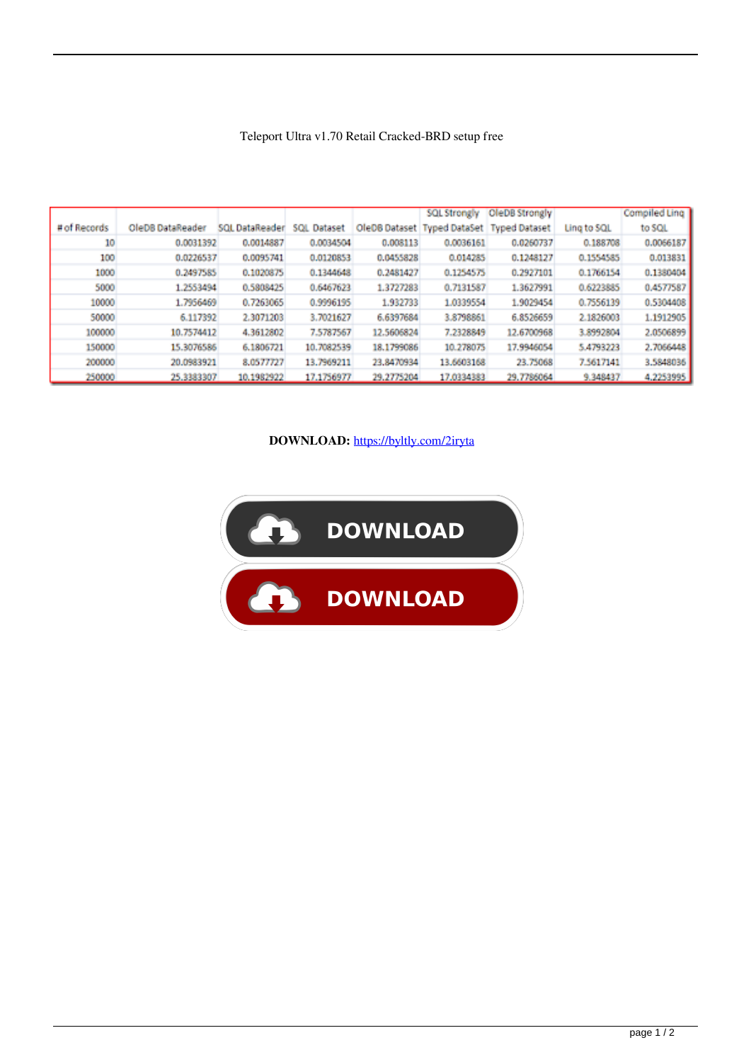|              |                  |                |             |            | <b>SQL Strongly</b>                       | OleDB Strongly |             | Compiled Ling |
|--------------|------------------|----------------|-------------|------------|-------------------------------------------|----------------|-------------|---------------|
| # of Records | OleDB DataReader | SQL DataReader | SQL Dataset |            | OleDB Dataset Typed DataSet Typed Dataset |                | Ling to SQL | to SQL        |
| 10           | 0.0031392        | 0.0014887      | 0.0034504   | 0.008113   | 0.0036161                                 | 0.0260737      | 0.188708    | 0.0066187     |
| 100          | 0.0226537        | 0.0095741      | 0.0120853   | 0.0455828  | 0.014285                                  | 0.1248127      | 0.1554585   | 0.013831      |
| 1000         | 0.2497585        | 0.1020875      | 0.1344648   | 0.2481427  | 0.1254575                                 | 0.2927101      | 0.1766154   | 0.1380404     |
| 5000         | 1.2553494        | 0.5808425      | 0.6467623   | 1.3727283  | 0.7131587                                 | 1.3627991      | 0.6223885   | 0.4577587     |
| 10000        | 1.7956469        | 0.7263065      | 0.9996195   | 1.932733   | 1.0339554                                 | 1.9029454      | 0.7556139   | 0.5304408     |
| 50000        | 6.117392         | 2.3071203      | 3.7021627   | 6.6397684  | 3.8798861                                 | 6.8526659      | 2.1826003   | 1.1912905     |
| 100000       | 10.7574412       | 4.3612802      | 7.5787567   | 12.5606824 | 7.2328849                                 | 12.6700968     | 3.8992804   | 2.0506899     |
| 150000       | 15.3076586       | 6.1806721      | 10.7082539  | 18.1799086 | 10.278075                                 | 17.9946054     | 5.4793223   | 2.7066448     |
| 200000       | 20.0983921       | 8.0577727      | 13.7969211  | 23.8470934 | 13.6603168                                | 23.75068       | 7.5617141   | 3.5848036     |
| 250000       | 25,3383307       | 10.1982922     | 17.1756977  | 29.2775204 | 17,0334383                                | 29.7786064     | 9.348437    | 4.2253995     |

## Teleport Ultra v1.70 Retail Cracked-BRD setup free

## **DOWNLOAD:** <https://byltly.com/2iryta>